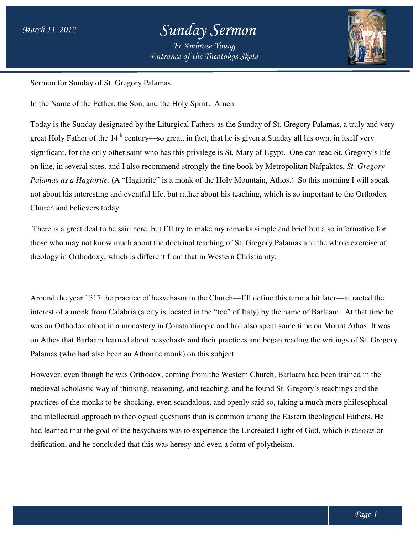

Sermon for Sunday of St. Gregory Palamas

In the Name of the Father, the Son, and the Holy Spirit. Amen.

Today is the Sunday designated by the Liturgical Fathers as the Sunday of St. Gregory Palamas, a truly and very Today is the Sunday designated by the Liturgical Fathers as the Sunday of St. Gregory Palamas, a truly and<br>great Holy Father of the 14<sup>th</sup> century—so great, in fact, that he is given a Sunday all his own, in itself very great Holy Father of the 14<sup>th</sup> century—so great, in fact, that he is given a Sunday all his own, in itself very<br>significant, for the only other saint who has this privilege is St. Mary of Egypt. One can read St. Gregory's on line, in several sites, and I also recommend strongly the fine book by Metropolitan Nafpaktos, St. Gregory Palamas as a Hagiorite. (A "Hagiorite" is a monk of the Holy Mountain, Athos.) So this morning I will speak not about his interesting and eventful life, but rather about his teaching, which is so important to the Orthodox Church and believers today. not about his interesting and eventful life, but rather about his teaching, which is so important to the Orthodox<br>Church and believers today.<br>There is a great deal to be said here, but I'll try to make my remarks simple an

those who may not know much about the doctrinal teaching of St. Gregory Palamas and the whole exercise of theology in Orthodoxy, which is different from that in Western Christianity. So this morning I will speal<br>ching, which is so important to the Orthodox<br>arks simple and brief but also informative for<br>. Gregory Palamas and the whole exercise of<br>hristianity.<br>I'll define this term a bit later—attracted

Around the year 1317 the practice of hesychasm in the Church—I'll define this term a bit later interest of a monk from Calabria (a city is located in the "toe" of Italy) by the name of Barlaam. Barlaam. Barlaam. At that time he was an Orthodox abbot in a monastery in Constantinople and h had also spent some time on Mount Athos. It was on Athos that Barlaam learned about hesychasts and their practices and began reading the writings of St. Gregory Palamas (who had also been an Athonite monk) on this subject.

However, even though he was Orthodox, coming from the Western Church, Barlaam had been trained in the medieval scholastic way of thinking, reasoning, and teaching, and he found St. Gregory's teachings and the practices of the monks to be shocking, even scandalous, and openly said so, takin and intellectual approach to theological questions than is common among the Eastern theological Fathers. He had learned that the goal of the hesychasts was to experience the Uncreated Light of God, which is deification, and he concluded that this was heresy and even a form of polytheism. on Athos that Barlaam learned about hesychasts and their practices and began reading the writings of St. Gregory<br>Palamas (who had also been an Athonite monk) on this subject.<br>However, even though he was Orthodox, coming fr ectual approach to theological questions than is common among the Eastern theological<br>ed that the goal of the hesychasts was to experience the Uncreated Light of God, which i<br>n, and he concluded that this was heresy and ev ad also spent some time on Mount Athos.<br>ices and began reading the writings of St.<br>.<br>.<br>.<br>ttern Church, Barlaam had been trained in<br>.<br>.<br>.<br>. diend St. Gregory's teachings and t<br>.<br>enly said so, taking a much more philosop *theosis* or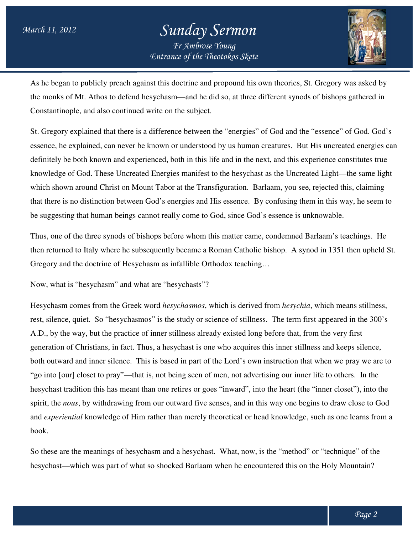

As he began to publicly preach against this doctrine and propound his own theories, St. Gregory was asked by the monks of Mt. Athos to defend hesychasm—and he did so, at three different synods of bishops gathered in Constantinople, and also continued write on the subject.

St. Gregory explained that there is a difference between the "energies" of God and the "essence" of God. God's St. Gregory explained that there is a difference between the "energies" of God and the "essence" of God. God's<br>essence, he explained, can never be known or understood by us human creatures. But His uncreated energies can definitely be both known and experienced, both in this life and in the next, and this experience constitutes true definitely be both known and experienced, both in this life and in the next, and this experient<br>knowledge of God. These Uncreated Energies manifest to the hesychast as the Uncreated L which shown around Christ on Mount Tabor at the Transfiguration. Barlaam, you see, rejected this, claiming that there is no distinction between God's energies and His essence. By confusing them in this way, he seem to be suggesting that human beings cannot really come to God, since God's essence is unknowable. t synods of bishops gathered in<br>and the "essence" of God. God's<br>es. But His uncreated energies can<br>l this experience constitutes true<br>Uncreated Light—the same light Barlaam, you see, rejected this, claiming<br>By confusing them in this way, he seem t<br>od's essence is unknowable.<br>me, condemned Barlaam's teachings. He

Thus, one of the three synods of bishops before whom this matter came, condemned Barlaam's teachings. be suggesting that human beings cannot really come to God, since God's essence is unknowable.<br>Thus, one of the three synods of bishops before whom this matter came, condemned Barlaam's teachings. He<br>then returned to Italy Gregory and the doctrine of Hesychasm as infallible Orthodox teaching...

Now, what is "hesychasm" and what are "hesychasts"?

Hesychasm comes from the Greek word *hesychasmos*, which is derived from *hesychia* , which means stillness, rest, silence, quiet. So "hesychasmos" is the study or science of stillness. The term first appeared in the 300's A.D., by the way, but the practice of inner stillness already existed long before that, from the very first generation of Christians, in fact. Thus, a hesychast is one who acquires this inner stillness and keeps silence, A.D., by the way, but the practice of inner stillness already existed long before that, from the very first generation of Christians, in fact. Thus, a hesychast is one who acquires this inner stillness and keeps silence, b "go into [our] closet to pray"—that is, not being seen of men, not advertising our inner life to others. In the hesychast tradition this has meant than one retires or goes "inward", into the heart (the "inner closet"), into the spirit, the *nous*, by withdrawing from our outward five senses, and in this way one begins to draw close to God spirit, the *nous*, by withdrawing from our outward five senses, and in this way one begins to draw close to God<br>and *experiential* knowledge of Him rather than merely theoretical or head knowledge, such as one learns from book.

So these are the meanings of hesychasm and a hesychast. What, now, is the "method" or "technique" of the hesychast—which was part of what so shocked Barlaam when he encountered this on the Holy Mountain?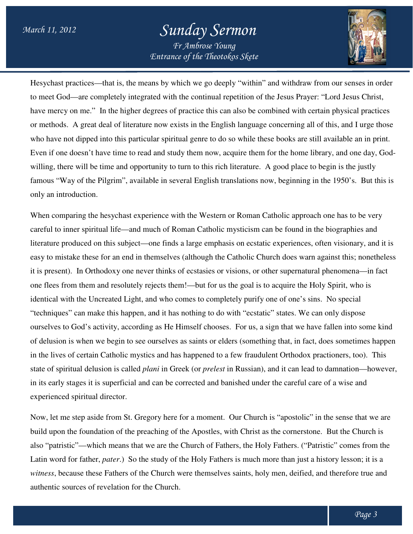

Hesychast practices—that is, the means by which we go deeply "within" and withdraw from our senses in order Hesychast practices—that is, the means by which we go deeply "within" and withdraw from our senses in ord<br>to meet God—are completely integrated with the continual repetition of the Jesus Prayer: "Lord Jesus Christ, have mercy on me." In the higher degrees of practice this can also be combined with certain physical practices or methods. A great deal of literature now exists in the English language concerning a who have not dipped into this particular spiritual genre to do so while these books are still available an in print. Even if one doesn't have time to read and study them now, acquire them for the home library, and one day, Godwilling, there will be time and opportunity to turn to this rich literature. A good place to begin is the justly famous "Way of the Pilgrim", available in several English translations now, beginning in the 1950's. 1950's. But this is only an introduction. e higher degrees of practice this can also be combined with certain physical practices of literature now exists in the English language concerning all of this, and I urge those this particular spiritual genre to do so whil available in several English translations now, beginning in the 1950's. But the<br>t experience with the Western or Roman Catholic approach one has to be very<br>and much of Roman Catholic mysticism can be found in the biographi nual repetition of the Jesus Prayer: "Lord Jesus Christ,<br>this can also be combined with certain physical practices<br>e English language concerning all of this, and I urge those

When comparing the hesychast experience with the Western or Roman Catholic approach one has to be very careful to inner spiritual life—and much of Roman Catholic mysticism can be found in the biographies and literature produced on this subject—one finds a large emphasis on ecstatic experiences, often visionary, and it is easy to mistake these for an end in themselves (although the Catholic Church does warn against this; nonetheless literature produced on this subject—one finds a large emphasis on ecstatic experiences, often visionary, and it i<br>easy to mistake these for an end in themselves (although the Catholic Church does warn against this; nonethe one flees from them and resolutely rejects them!—but for us the goal is to acquire the Holy Spirit, who is identical with the Uncreated Light, and who comes to completely purify one of one's sins. No special identical with the Uncreated Light, and who comes to completely purify one of one's sins. "techniques" can make this happen, and it has nothing to do with "ecstatic" states. We can only dispose identical with the Uncreated Light, and who comes to completely purify one of one's sins. No special<br>"techniques" can make this happen, and it has nothing to do with "ecstatic" states. We can only dispose<br>ourselves to God' of delusion is when we begin to see ourselves as saints or elders (something that, in fact, does sometimes happen in the lives of certain Catholic mystics and has happened to a few fraudulent Orthodox practioners, too). state of spiritual delusion is called *plani*  in Greek (or *prelest* in Russian), and it can lead to damnation lead to damnation—however, in its early stages it is superficial and can be corrected and banished under the careful care of a wise and<br>experienced spiritual director.<br>Now, let me step aside from St. Gregory here for a moment. Our Church is "apostol experienced spiritual director. a sign that we have fallen into some kin<br>thing that, in fact, does sometimes happ<br>lulent Orthodox practioners, too). This

Now, let me step aside from St. Gregory here for a moment. Our Church is "apostolic" in the sense that we are build upon the foundation of the preaching of the Apostles, with Christ as the cornerstone. But the Church is also "patristic"—which means that we are the Church of Fathers, the Holy Fathers. ("Patristic" comes from the Latin word for father, *pater*.) So the study of the Holy Fathers is much more than just a history lesson; it is a *witness*, because these Fathers of the Church were themselves saints, holy men, deified, and therefore true and authentic sources of revelation for the atristic"—which means that we are the Church of Fathers, the Holy Fathers. ("Patristic" comes from the rord for father, *pater*.) So the study of the Holy Fathers is much more than just a history lesson; it is a , because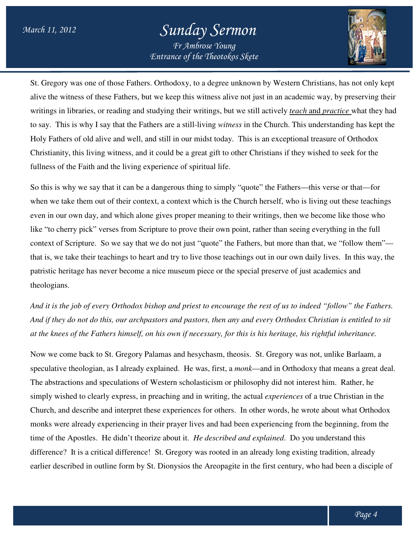

St. Gregory was one of those Fathers. Orthodoxy, to a degree unknown by Western Christians, has not only kept alive the witness of these Fathers, but we keep this witness alive not just in an academic way, by preserving their writings in libraries, or reading and studying their writings, but we still actively *teach* and *practice* what they had to say. This is why I say that the Fathers are a still-living *witness* in the Church. This understanding has kept the Holy Fathers of old alive and well, and still in our midst today. This is an exceptional treasure of Orthodox Christianity, this living witness, and it could be a great gift to other Christians if they wished to seek for the fullness of the Faith and the living experience of spiritual life. fullness of the Faith and the living experience of spiritual life.<br>So this is why we say that it can be a dangerous thing to simply "quote" the Fathers—this verse or that—for

when we take them out of their context, a context which is the Church herself, who is living out these teachings even in our own day, and which alone gives proper meaning to their writings, then we become like those who like "to cherry pick" verses from Scripture to prove their own point, rather than seeing everything in the full even in our own day, and which alone gives proper meaning to their writings, then we become like those who<br>like "to cherry pick" verses from Scripture to prove their own point, rather than seeing everything in the full<br>con that is, we take their teachings to heart and try to live those teachings out in our own daily lives. In this way, the that is, we take their teachings to heart and try to live those teachings out in our own daily lives. In this<br>patristic heritage has never become a nice museum piece or the special preserve of just academics and theologians.

*And it is the job of every Orthodox bishop and priest to encourage the rest of us to indeed "follow" the Fathers. Fathers. And if they do not do this, our archpastors and pastors, then any and every Orthodox Christian is entitled to sit*  And it is the job of every Orthodox bishop and priest to encourage the rest of us to indeed "follow" the Fathe<br>And if they do not do this, our archpastors and pastors, then any and every Orthodox Christian is entitled to<br>a

Now we come back to St. Gregory Palamas and hesychasm, theosis. St. Gregory was not, unlike Barlaam, a speculative theologian, as I already explained. He was, first, a *monk*—and in Orthodoxy that means a great deal. The abstractions and speculations of Western scholasticism or philosophy did not interest him. Rather, he The abstractions and speculations of Western scholasticism or philosophy did not interest him. Rather, he<br>simply wished to clearly express, in preaching and in writing, the actual *experiences* of a true Christian in the Church, and describe and interpret these experiences for others. In other words, he wrote about what Orthodox monks were already experiencing in their prayer lives and had been experiencing from the beginning, from the time of the Apostles. He didn't theorize about it. *He described and explained*. Do you understand this difference? It is a critical difference! St. Gregory was rooted in an already long existing tradition, already earlier described in outline form by St. Dionysios the Areopagite in the first century, who had been a disciple of se experiences for others. In other words, he wrote about what<br>heir prayer lives and had been experiencing from the beginning,<br>ze about it. *He described and explained*. Do you understand th<br>St. Gregory was rooted in an al